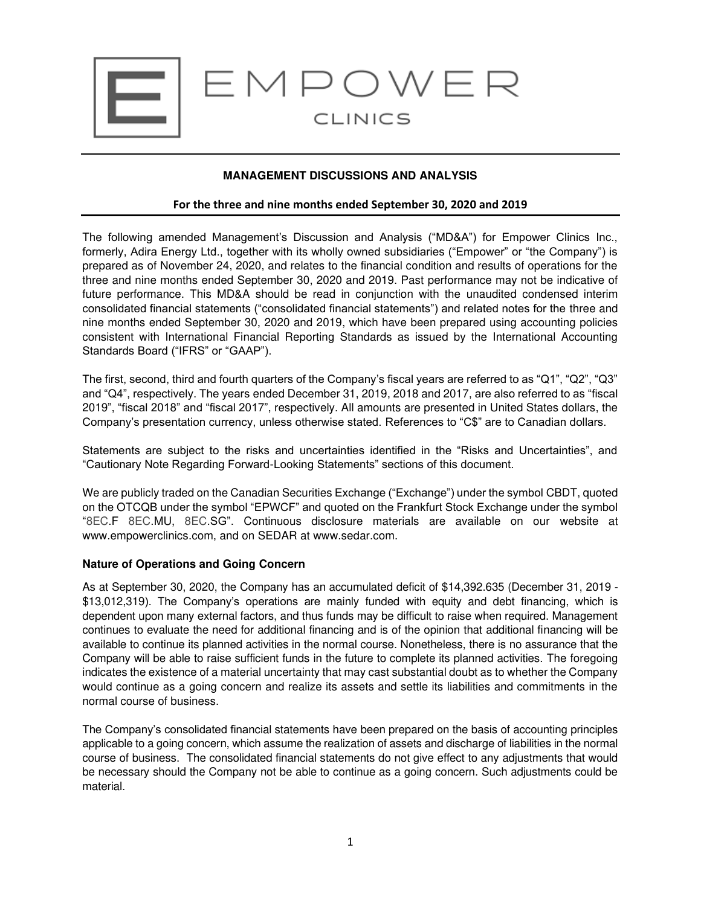

# **MANAGEMENT DISCUSSIONS AND ANALYSIS**

## **For the three and nine months ended September 30, 2020 and 2019**

The following amended Management's Discussion and Analysis ("MD&A") for Empower Clinics Inc., formerly, Adira Energy Ltd., together with its wholly owned subsidiaries ("Empower" or "the Company") is prepared as of November 24, 2020, and relates to the financial condition and results of operations for the three and nine months ended September 30, 2020 and 2019. Past performance may not be indicative of future performance. This MD&A should be read in conjunction with the unaudited condensed interim consolidated financial statements ("consolidated financial statements") and related notes for the three and nine months ended September 30, 2020 and 2019, which have been prepared using accounting policies consistent with International Financial Reporting Standards as issued by the International Accounting Standards Board ("IFRS" or "GAAP").

The first, second, third and fourth quarters of the Company's fiscal years are referred to as "Q1", "Q2", "Q3" and "Q4", respectively. The years ended December 31, 2019, 2018 and 2017, are also referred to as "fiscal 2019", "fiscal 2018" and "fiscal 2017", respectively. All amounts are presented in United States dollars, the Company's presentation currency, unless otherwise stated. References to "C\$" are to Canadian dollars.

Statements are subject to the risks and uncertainties identified in the "Risks and Uncertainties", and "Cautionary Note Regarding Forward-Looking Statements" sections of this document.

We are publicly traded on the Canadian Securities Exchange ("Exchange") under the symbol CBDT, quoted on the OTCQB under the symbol "EPWCF" and quoted on the Frankfurt Stock Exchange under the symbol "8EC.F 8EC.MU, 8EC.SG". Continuous disclosure materials are available on our website at www.empowerclinics.com, and on SEDAR at www.sedar.com.

## **Nature of Operations and Going Concern**

As at September 30, 2020, the Company has an accumulated deficit of \$14,392.635 (December 31, 2019 - \$13,012,319). The Company's operations are mainly funded with equity and debt financing, which is dependent upon many external factors, and thus funds may be difficult to raise when required. Management continues to evaluate the need for additional financing and is of the opinion that additional financing will be available to continue its planned activities in the normal course. Nonetheless, there is no assurance that the Company will be able to raise sufficient funds in the future to complete its planned activities. The foregoing indicates the existence of a material uncertainty that may cast substantial doubt as to whether the Company would continue as a going concern and realize its assets and settle its liabilities and commitments in the normal course of business.

The Company's consolidated financial statements have been prepared on the basis of accounting principles applicable to a going concern, which assume the realization of assets and discharge of liabilities in the normal course of business. The consolidated financial statements do not give effect to any adjustments that would be necessary should the Company not be able to continue as a going concern. Such adjustments could be material.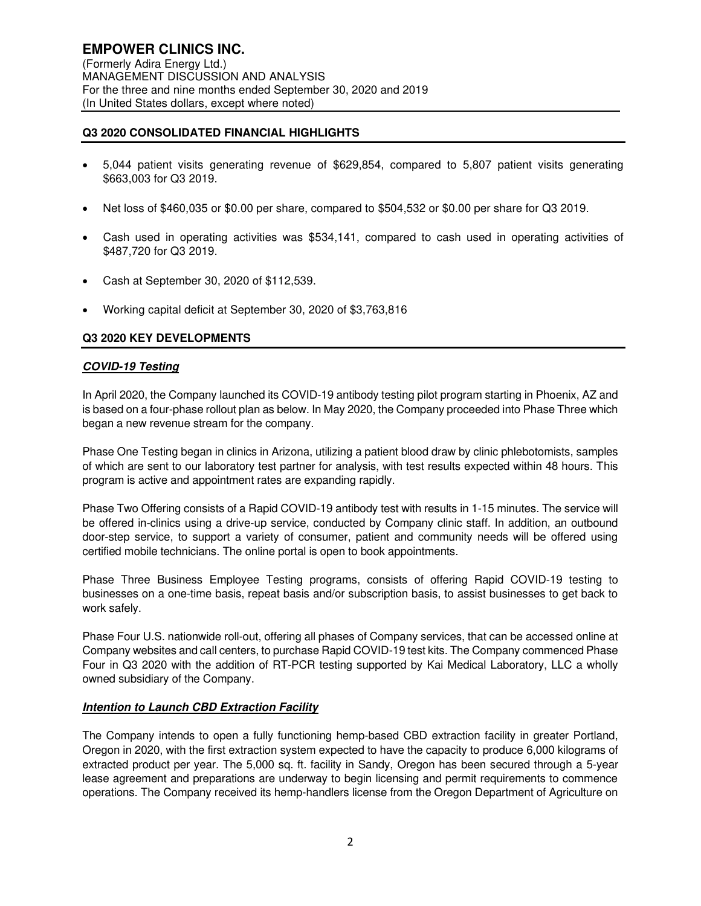# **Q3 2020 CONSOLIDATED FINANCIAL HIGHLIGHTS**

- 5,044 patient visits generating revenue of \$629,854, compared to 5,807 patient visits generating \$663,003 for Q3 2019.
- Net loss of \$460,035 or \$0.00 per share, compared to \$504,532 or \$0.00 per share for Q3 2019.
- Cash used in operating activities was \$534,141, compared to cash used in operating activities of \$487,720 for Q3 2019.
- Cash at September 30, 2020 of \$112,539.
- Working capital deficit at September 30, 2020 of \$3,763,816

## **Q3 2020 KEY DEVELOPMENTS**

#### **COVID-19 Testing**

In April 2020, the Company launched its COVID-19 antibody testing pilot program starting in Phoenix, AZ and is based on a four-phase rollout plan as below. In May 2020, the Company proceeded into Phase Three which began a new revenue stream for the company.

Phase One Testing began in clinics in Arizona, utilizing a patient blood draw by clinic phlebotomists, samples of which are sent to our laboratory test partner for analysis, with test results expected within 48 hours. This program is active and appointment rates are expanding rapidly.

Phase Two Offering consists of a Rapid COVID-19 antibody test with results in 1-15 minutes. The service will be offered in-clinics using a drive-up service, conducted by Company clinic staff. In addition, an outbound door-step service, to support a variety of consumer, patient and community needs will be offered using certified mobile technicians. The online portal is open to book appointments.

Phase Three Business Employee Testing programs, consists of offering Rapid COVID-19 testing to businesses on a one-time basis, repeat basis and/or subscription basis, to assist businesses to get back to work safely.

Phase Four U.S. nationwide roll-out, offering all phases of Company services, that can be accessed online at Company websites and call centers, to purchase Rapid COVID-19 test kits. The Company commenced Phase Four in Q3 2020 with the addition of RT-PCR testing supported by Kai Medical Laboratory, LLC a wholly owned subsidiary of the Company.

## **Intention to Launch CBD Extraction Facility**

The Company intends to open a fully functioning hemp-based CBD extraction facility in greater Portland, Oregon in 2020, with the first extraction system expected to have the capacity to produce 6,000 kilograms of extracted product per year. The 5,000 sq. ft. facility in Sandy, Oregon has been secured through a 5-year lease agreement and preparations are underway to begin licensing and permit requirements to commence operations. The Company received its hemp-handlers license from the Oregon Department of Agriculture on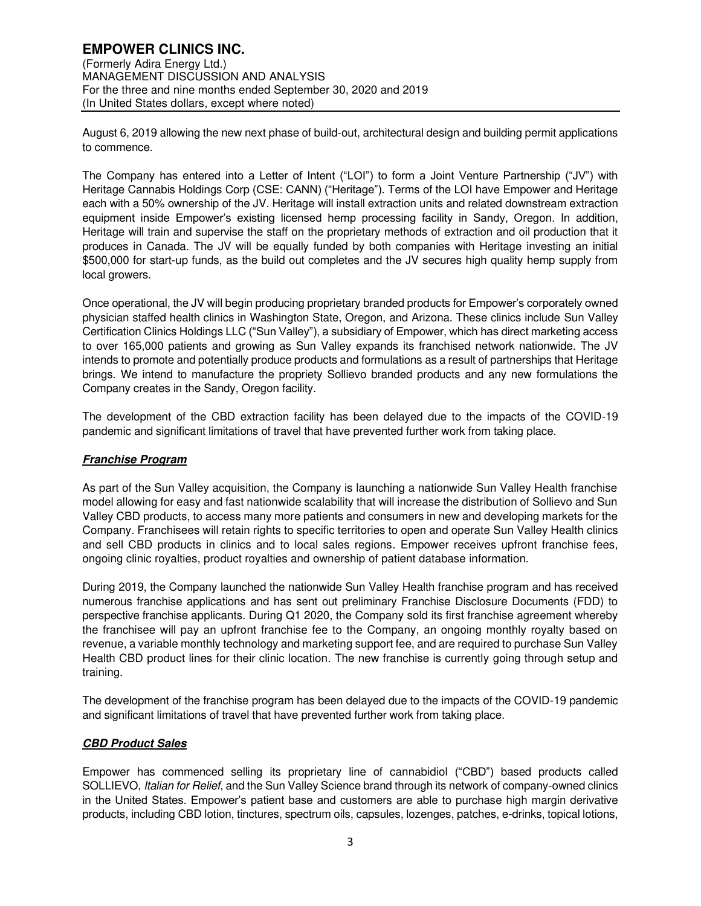August 6, 2019 allowing the new next phase of build-out, architectural design and building permit applications to commence.

The Company has entered into a Letter of Intent ("LOI") to form a Joint Venture Partnership ("JV") with Heritage Cannabis Holdings Corp (CSE: CANN) ("Heritage"). Terms of the LOI have Empower and Heritage each with a 50% ownership of the JV. Heritage will install extraction units and related downstream extraction equipment inside Empower's existing licensed hemp processing facility in Sandy, Oregon. In addition, Heritage will train and supervise the staff on the proprietary methods of extraction and oil production that it produces in Canada. The JV will be equally funded by both companies with Heritage investing an initial \$500,000 for start-up funds, as the build out completes and the JV secures high quality hemp supply from local growers.

Once operational, the JV will begin producing proprietary branded products for Empower's corporately owned physician staffed health clinics in Washington State, Oregon, and Arizona. These clinics include Sun Valley Certification Clinics Holdings LLC ("Sun Valley"), a subsidiary of Empower, which has direct marketing access to over 165,000 patients and growing as Sun Valley expands its franchised network nationwide. The JV intends to promote and potentially produce products and formulations as a result of partnerships that Heritage brings. We intend to manufacture the propriety Sollievo branded products and any new formulations the Company creates in the Sandy, Oregon facility.

The development of the CBD extraction facility has been delayed due to the impacts of the COVID-19 pandemic and significant limitations of travel that have prevented further work from taking place.

# **Franchise Program**

As part of the Sun Valley acquisition, the Company is launching a nationwide Sun Valley Health franchise model allowing for easy and fast nationwide scalability that will increase the distribution of Sollievo and Sun Valley CBD products, to access many more patients and consumers in new and developing markets for the Company. Franchisees will retain rights to specific territories to open and operate Sun Valley Health clinics and sell CBD products in clinics and to local sales regions. Empower receives upfront franchise fees, ongoing clinic royalties, product royalties and ownership of patient database information.

During 2019, the Company launched the nationwide Sun Valley Health franchise program and has received numerous franchise applications and has sent out preliminary Franchise Disclosure Documents (FDD) to perspective franchise applicants. During Q1 2020, the Company sold its first franchise agreement whereby the franchisee will pay an upfront franchise fee to the Company, an ongoing monthly royalty based on revenue, a variable monthly technology and marketing support fee, and are required to purchase Sun Valley Health CBD product lines for their clinic location. The new franchise is currently going through setup and training.

The development of the franchise program has been delayed due to the impacts of the COVID-19 pandemic and significant limitations of travel that have prevented further work from taking place.

## **CBD Product Sales**

Empower has commenced selling its proprietary line of cannabidiol ("CBD") based products called SOLLIEVO, Italian for Relief, and the Sun Valley Science brand through its network of company-owned clinics in the United States. Empower's patient base and customers are able to purchase high margin derivative products, including CBD lotion, tinctures, spectrum oils, capsules, lozenges, patches, e-drinks, topical lotions,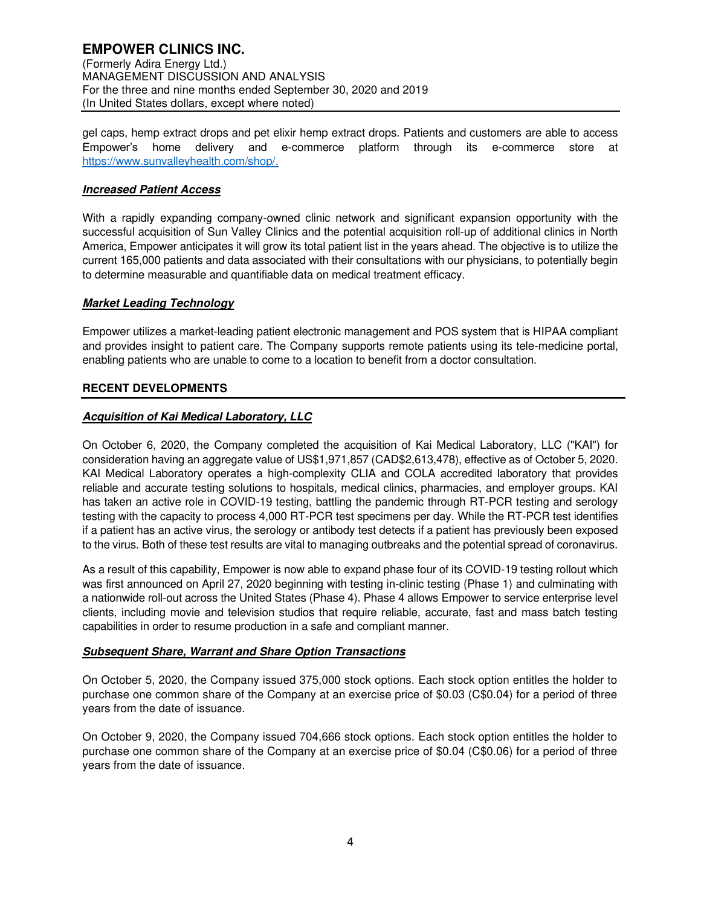gel caps, hemp extract drops and pet elixir hemp extract drops. Patients and customers are able to access Empower's home delivery and e-commerce platform through its e-commerce store at https://www.sunvalleyhealth.com/shop/.

# **Increased Patient Access**

With a rapidly expanding company-owned clinic network and significant expansion opportunity with the successful acquisition of Sun Valley Clinics and the potential acquisition roll-up of additional clinics in North America, Empower anticipates it will grow its total patient list in the years ahead. The objective is to utilize the current 165,000 patients and data associated with their consultations with our physicians, to potentially begin to determine measurable and quantifiable data on medical treatment efficacy.

# **Market Leading Technology**

Empower utilizes a market-leading patient electronic management and POS system that is HIPAA compliant and provides insight to patient care. The Company supports remote patients using its tele-medicine portal, enabling patients who are unable to come to a location to benefit from a doctor consultation.

# **RECENT DEVELOPMENTS**

# **Acquisition of Kai Medical Laboratory, LLC**

On October 6, 2020, the Company completed the acquisition of Kai Medical Laboratory, LLC ("KAI") for consideration having an aggregate value of US\$1,971,857 (CAD\$2,613,478), effective as of October 5, 2020. KAI Medical Laboratory operates a high-complexity CLIA and COLA accredited laboratory that provides reliable and accurate testing solutions to hospitals, medical clinics, pharmacies, and employer groups. KAI has taken an active role in COVID-19 testing, battling the pandemic through RT-PCR testing and serology testing with the capacity to process 4,000 RT-PCR test specimens per day. While the RT-PCR test identifies if a patient has an active virus, the serology or antibody test detects if a patient has previously been exposed to the virus. Both of these test results are vital to managing outbreaks and the potential spread of coronavirus.

As a result of this capability, Empower is now able to expand phase four of its COVID-19 testing rollout which was first announced on April 27, 2020 beginning with testing in-clinic testing (Phase 1) and culminating with a nationwide roll-out across the United States (Phase 4). Phase 4 allows Empower to service enterprise level clients, including movie and television studios that require reliable, accurate, fast and mass batch testing capabilities in order to resume production in a safe and compliant manner.

## **Subsequent Share, Warrant and Share Option Transactions**

On October 5, 2020, the Company issued 375,000 stock options. Each stock option entitles the holder to purchase one common share of the Company at an exercise price of \$0.03 (C\$0.04) for a period of three years from the date of issuance.

On October 9, 2020, the Company issued 704,666 stock options. Each stock option entitles the holder to purchase one common share of the Company at an exercise price of \$0.04 (C\$0.06) for a period of three years from the date of issuance.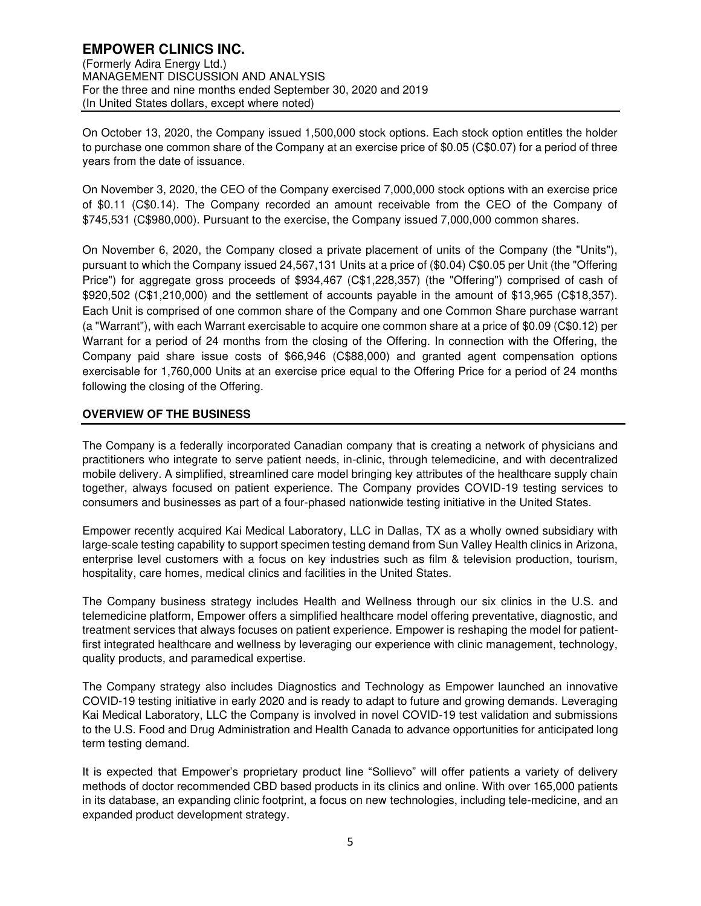On October 13, 2020, the Company issued 1,500,000 stock options. Each stock option entitles the holder to purchase one common share of the Company at an exercise price of \$0.05 (C\$0.07) for a period of three years from the date of issuance.

On November 3, 2020, the CEO of the Company exercised 7,000,000 stock options with an exercise price of \$0.11 (C\$0.14). The Company recorded an amount receivable from the CEO of the Company of \$745,531 (C\$980,000). Pursuant to the exercise, the Company issued 7,000,000 common shares.

On November 6, 2020, the Company closed a private placement of units of the Company (the "Units"), pursuant to which the Company issued 24,567,131 Units at a price of (\$0.04) C\$0.05 per Unit (the "Offering Price") for aggregate gross proceeds of \$934,467 (C\$1,228,357) (the "Offering") comprised of cash of \$920,502 (C\$1,210,000) and the settlement of accounts payable in the amount of \$13,965 (C\$18,357). Each Unit is comprised of one common share of the Company and one Common Share purchase warrant (a "Warrant"), with each Warrant exercisable to acquire one common share at a price of \$0.09 (C\$0.12) per Warrant for a period of 24 months from the closing of the Offering. In connection with the Offering, the Company paid share issue costs of \$66,946 (C\$88,000) and granted agent compensation options exercisable for 1,760,000 Units at an exercise price equal to the Offering Price for a period of 24 months following the closing of the Offering.

# **OVERVIEW OF THE BUSINESS**

The Company is a federally incorporated Canadian company that is creating a network of physicians and practitioners who integrate to serve patient needs, in-clinic, through telemedicine, and with decentralized mobile delivery. A simplified, streamlined care model bringing key attributes of the healthcare supply chain together, always focused on patient experience. The Company provides COVID-19 testing services to consumers and businesses as part of a four-phased nationwide testing initiative in the United States.

Empower recently acquired Kai Medical Laboratory, LLC in Dallas, TX as a wholly owned subsidiary with large-scale testing capability to support specimen testing demand from Sun Valley Health clinics in Arizona, enterprise level customers with a focus on key industries such as film & television production, tourism, hospitality, care homes, medical clinics and facilities in the United States.

The Company business strategy includes Health and Wellness through our six clinics in the U.S. and telemedicine platform, Empower offers a simplified healthcare model offering preventative, diagnostic, and treatment services that always focuses on patient experience. Empower is reshaping the model for patientfirst integrated healthcare and wellness by leveraging our experience with clinic management, technology, quality products, and paramedical expertise.

The Company strategy also includes Diagnostics and Technology as Empower launched an innovative COVID-19 testing initiative in early 2020 and is ready to adapt to future and growing demands. Leveraging Kai Medical Laboratory, LLC the Company is involved in novel COVID-19 test validation and submissions to the U.S. Food and Drug Administration and Health Canada to advance opportunities for anticipated long term testing demand.

It is expected that Empower's proprietary product line "Sollievo" will offer patients a variety of delivery methods of doctor recommended CBD based products in its clinics and online. With over 165,000 patients in its database, an expanding clinic footprint, a focus on new technologies, including tele-medicine, and an expanded product development strategy.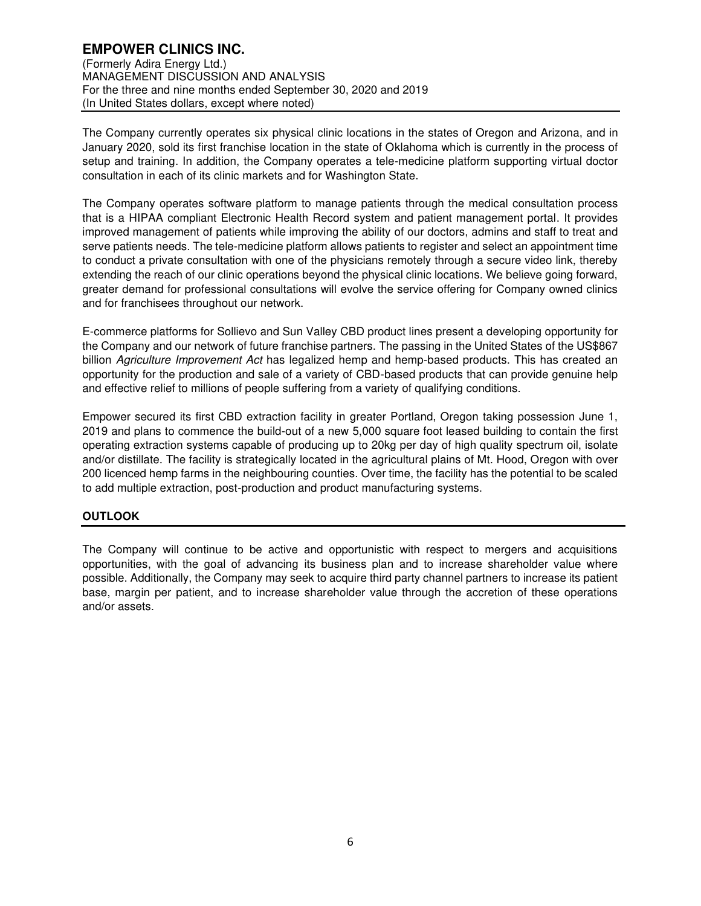The Company currently operates six physical clinic locations in the states of Oregon and Arizona, and in January 2020, sold its first franchise location in the state of Oklahoma which is currently in the process of setup and training. In addition, the Company operates a tele-medicine platform supporting virtual doctor consultation in each of its clinic markets and for Washington State.

The Company operates software platform to manage patients through the medical consultation process that is a HIPAA compliant Electronic Health Record system and patient management portal. It provides improved management of patients while improving the ability of our doctors, admins and staff to treat and serve patients needs. The tele-medicine platform allows patients to register and select an appointment time to conduct a private consultation with one of the physicians remotely through a secure video link, thereby extending the reach of our clinic operations beyond the physical clinic locations. We believe going forward, greater demand for professional consultations will evolve the service offering for Company owned clinics and for franchisees throughout our network.

E-commerce platforms for Sollievo and Sun Valley CBD product lines present a developing opportunity for the Company and our network of future franchise partners. The passing in the United States of the US\$867 billion Agriculture Improvement Act has legalized hemp and hemp-based products. This has created an opportunity for the production and sale of a variety of CBD-based products that can provide genuine help and effective relief to millions of people suffering from a variety of qualifying conditions.

Empower secured its first CBD extraction facility in greater Portland, Oregon taking possession June 1, 2019 and plans to commence the build-out of a new 5,000 square foot leased building to contain the first operating extraction systems capable of producing up to 20kg per day of high quality spectrum oil, isolate and/or distillate. The facility is strategically located in the agricultural plains of Mt. Hood, Oregon with over 200 licenced hemp farms in the neighbouring counties. Over time, the facility has the potential to be scaled to add multiple extraction, post-production and product manufacturing systems.

# **OUTLOOK**

The Company will continue to be active and opportunistic with respect to mergers and acquisitions opportunities, with the goal of advancing its business plan and to increase shareholder value where possible. Additionally, the Company may seek to acquire third party channel partners to increase its patient base, margin per patient, and to increase shareholder value through the accretion of these operations and/or assets.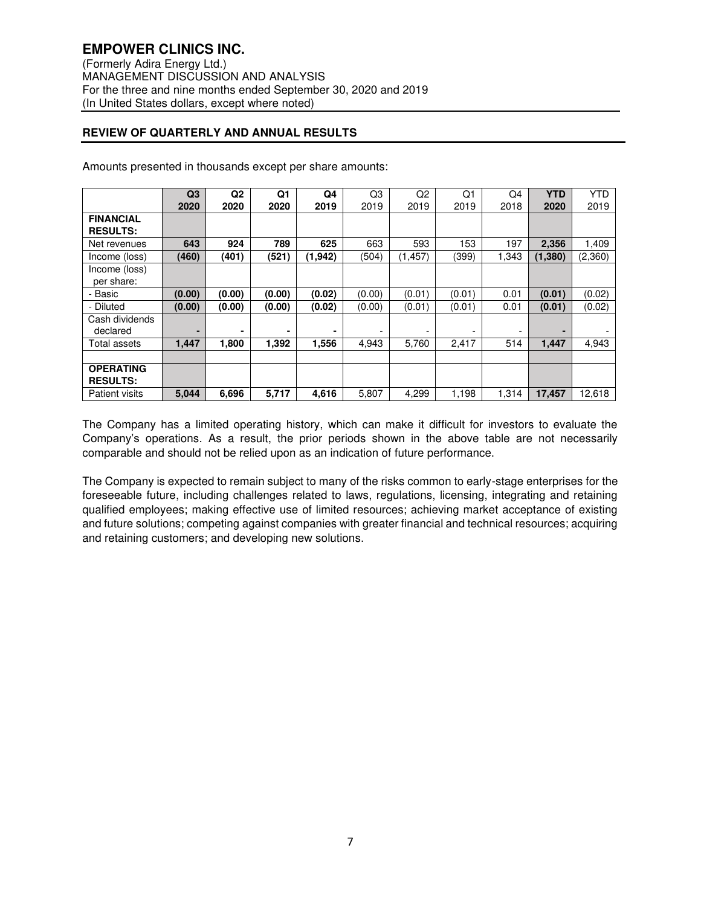# **REVIEW OF QUARTERLY AND ANNUAL RESULTS**

|                                     | Q3     | Q <sub>2</sub> | Q1     | Q4      | Q3     | Q <sub>2</sub> | Q1     | Q4    | <b>YTD</b> | <b>YTD</b> |
|-------------------------------------|--------|----------------|--------|---------|--------|----------------|--------|-------|------------|------------|
|                                     | 2020   | 2020           | 2020   | 2019    | 2019   | 2019           | 2019   | 2018  | 2020       | 2019       |
| <b>FINANCIAL</b><br><b>RESULTS:</b> |        |                |        |         |        |                |        |       |            |            |
| Net revenues                        | 643    | 924            | 789    | 625     | 663    | 593            | 153    | 197   | 2,356      | 1,409      |
| Income (loss)                       | (460)  | (401)          | (521)  | (1,942) | (504)  | (1, 457)       | (399)  | 1.343 | (1,380)    | (2,360)    |
| Income (loss)<br>per share:         |        |                |        |         |        |                |        |       |            |            |
| - Basic                             | (0.00) | (0.00)         | (0.00) | (0.02)  | (0.00) | (0.01)         | (0.01) | 0.01  | (0.01)     | (0.02)     |
| - Diluted                           | (0.00) | (0.00)         | (0.00) | (0.02)  | (0.00) | (0.01)         | (0.01) | 0.01  | (0.01)     | (0.02)     |
| Cash dividends<br>declared          |        | ۰              | -      | ۰       |        |                |        | -     |            |            |
| Total assets                        | 1,447  | 1,800          | 1,392  | 1,556   | 4,943  | 5,760          | 2,417  | 514   | 1,447      | 4,943      |
|                                     |        |                |        |         |        |                |        |       |            |            |
| <b>OPERATING</b><br><b>RESULTS:</b> |        |                |        |         |        |                |        |       |            |            |
| <b>Patient visits</b>               | 5,044  | 6,696          | 5,717  | 4,616   | 5,807  | 4,299          | 1,198  | 1,314 | 17,457     | 12,618     |

Amounts presented in thousands except per share amounts:

The Company has a limited operating history, which can make it difficult for investors to evaluate the Company's operations. As a result, the prior periods shown in the above table are not necessarily comparable and should not be relied upon as an indication of future performance.

The Company is expected to remain subject to many of the risks common to early-stage enterprises for the foreseeable future, including challenges related to laws, regulations, licensing, integrating and retaining qualified employees; making effective use of limited resources; achieving market acceptance of existing and future solutions; competing against companies with greater financial and technical resources; acquiring and retaining customers; and developing new solutions.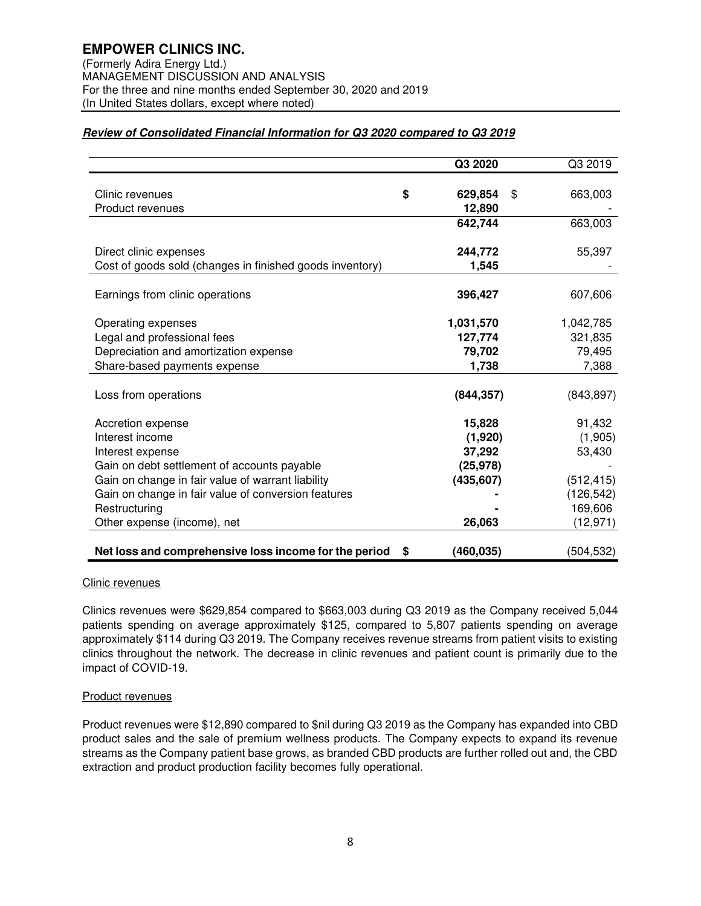# **Review of Consolidated Financial Information for Q3 2020 compared to Q3 2019**

|                                                          | Q3 2020          | Q3 2019       |
|----------------------------------------------------------|------------------|---------------|
| Clinic revenues                                          | \$<br>629,854    | \$<br>663,003 |
| Product revenues                                         | 12,890           |               |
|                                                          | 642,744          | 663,003       |
|                                                          |                  |               |
| Direct clinic expenses                                   | 244,772          | 55,397        |
| Cost of goods sold (changes in finished goods inventory) | 1,545            |               |
| Earnings from clinic operations                          | 396,427          | 607,606       |
|                                                          |                  |               |
| Operating expenses                                       | 1,031,570        | 1,042,785     |
| Legal and professional fees                              | 127,774          | 321,835       |
| Depreciation and amortization expense                    | 79,702           | 79,495        |
| Share-based payments expense                             | 1,738            | 7,388         |
|                                                          |                  |               |
| Loss from operations                                     | (844, 357)       | (843, 897)    |
| Accretion expense                                        | 15,828           | 91,432        |
| Interest income                                          | (1,920)          | (1,905)       |
| Interest expense                                         | 37,292           | 53,430        |
| Gain on debt settlement of accounts payable              | (25, 978)        |               |
| Gain on change in fair value of warrant liability        | (435, 607)       | (512, 415)    |
| Gain on change in fair value of conversion features      |                  | (126, 542)    |
| Restructuring                                            |                  | 169,606       |
| Other expense (income), net                              | 26,063           | (12, 971)     |
|                                                          |                  |               |
| Net loss and comprehensive loss income for the period    | \$<br>(460, 035) | (504, 532)    |

## Clinic revenues

Clinics revenues were \$629,854 compared to \$663,003 during Q3 2019 as the Company received 5,044 patients spending on average approximately \$125, compared to 5,807 patients spending on average approximately \$114 during Q3 2019. The Company receives revenue streams from patient visits to existing clinics throughout the network. The decrease in clinic revenues and patient count is primarily due to the impact of COVID-19.

## Product revenues

Product revenues were \$12,890 compared to \$nil during Q3 2019 as the Company has expanded into CBD product sales and the sale of premium wellness products. The Company expects to expand its revenue streams as the Company patient base grows, as branded CBD products are further rolled out and, the CBD extraction and product production facility becomes fully operational.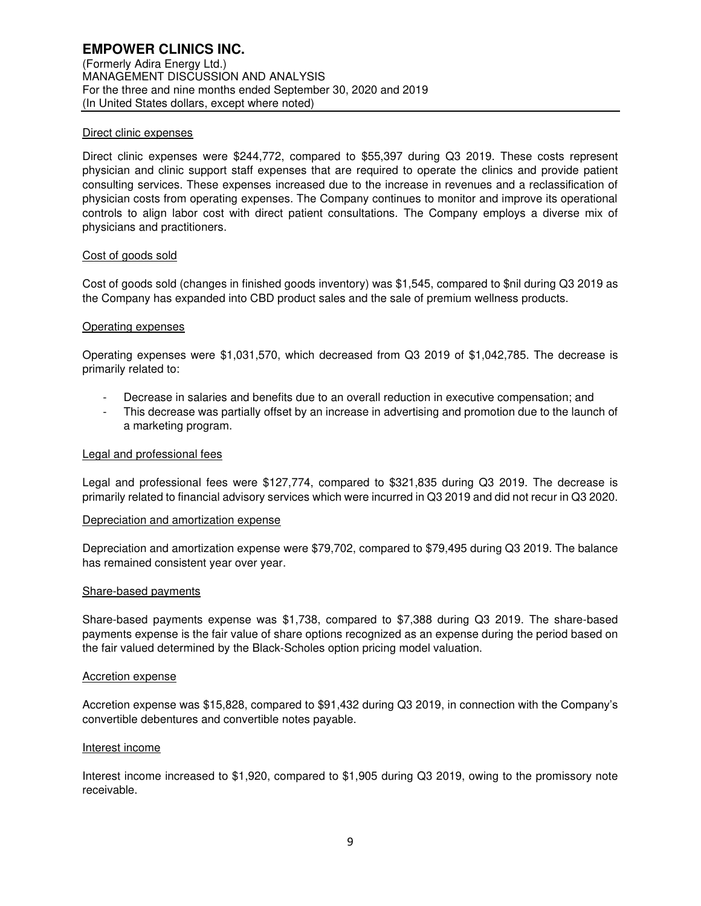### Direct clinic expenses

Direct clinic expenses were \$244,772, compared to \$55,397 during Q3 2019. These costs represent physician and clinic support staff expenses that are required to operate the clinics and provide patient consulting services. These expenses increased due to the increase in revenues and a reclassification of physician costs from operating expenses. The Company continues to monitor and improve its operational controls to align labor cost with direct patient consultations. The Company employs a diverse mix of physicians and practitioners.

#### Cost of goods sold

Cost of goods sold (changes in finished goods inventory) was \$1,545, compared to \$nil during Q3 2019 as the Company has expanded into CBD product sales and the sale of premium wellness products.

#### Operating expenses

Operating expenses were \$1,031,570, which decreased from Q3 2019 of \$1,042,785. The decrease is primarily related to:

- Decrease in salaries and benefits due to an overall reduction in executive compensation; and
- This decrease was partially offset by an increase in advertising and promotion due to the launch of a marketing program.

#### Legal and professional fees

Legal and professional fees were \$127,774, compared to \$321,835 during Q3 2019. The decrease is primarily related to financial advisory services which were incurred in Q3 2019 and did not recur in Q3 2020.

#### Depreciation and amortization expense

Depreciation and amortization expense were \$79,702, compared to \$79,495 during Q3 2019. The balance has remained consistent year over year.

#### Share-based payments

Share-based payments expense was \$1,738, compared to \$7,388 during Q3 2019. The share-based payments expense is the fair value of share options recognized as an expense during the period based on the fair valued determined by the Black-Scholes option pricing model valuation.

#### Accretion expense

Accretion expense was \$15,828, compared to \$91,432 during Q3 2019, in connection with the Company's convertible debentures and convertible notes payable.

#### Interest income

Interest income increased to \$1,920, compared to \$1,905 during Q3 2019, owing to the promissory note receivable.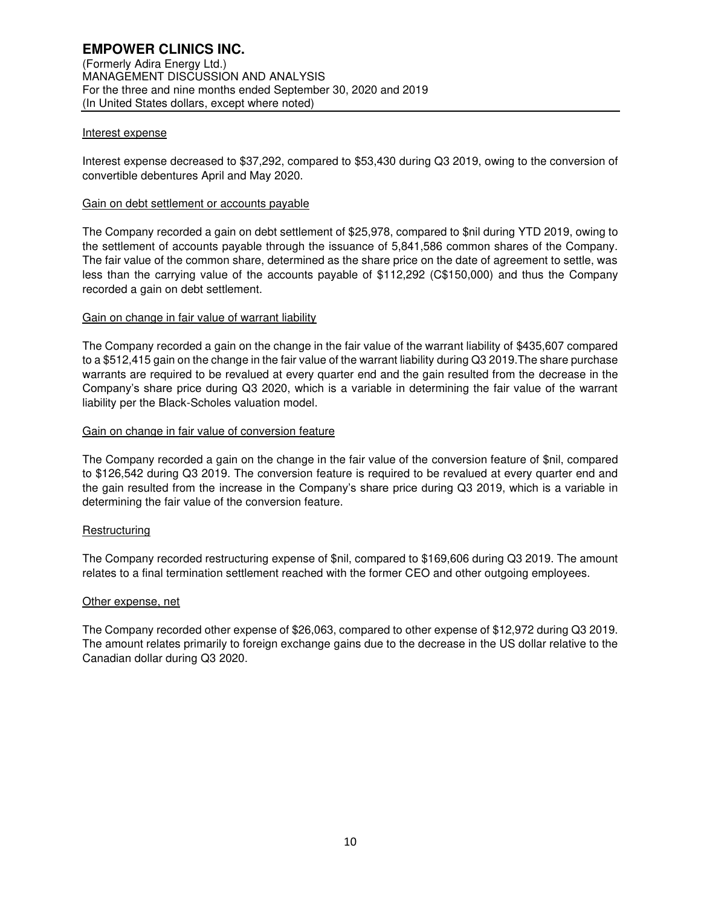### Interest expense

Interest expense decreased to \$37,292, compared to \$53,430 during Q3 2019, owing to the conversion of convertible debentures April and May 2020.

### Gain on debt settlement or accounts payable

The Company recorded a gain on debt settlement of \$25,978, compared to \$nil during YTD 2019, owing to the settlement of accounts payable through the issuance of 5,841,586 common shares of the Company. The fair value of the common share, determined as the share price on the date of agreement to settle, was less than the carrying value of the accounts payable of \$112,292 (C\$150,000) and thus the Company recorded a gain on debt settlement.

## Gain on change in fair value of warrant liability

The Company recorded a gain on the change in the fair value of the warrant liability of \$435,607 compared to a \$512,415 gain on the change in the fair value of the warrant liability during Q3 2019.The share purchase warrants are required to be revalued at every quarter end and the gain resulted from the decrease in the Company's share price during Q3 2020, which is a variable in determining the fair value of the warrant liability per the Black-Scholes valuation model.

#### Gain on change in fair value of conversion feature

The Company recorded a gain on the change in the fair value of the conversion feature of \$nil, compared to \$126,542 during Q3 2019. The conversion feature is required to be revalued at every quarter end and the gain resulted from the increase in the Company's share price during Q3 2019, which is a variable in determining the fair value of the conversion feature.

## Restructuring

The Company recorded restructuring expense of \$nil, compared to \$169,606 during Q3 2019. The amount relates to a final termination settlement reached with the former CEO and other outgoing employees.

#### Other expense, net

The Company recorded other expense of \$26,063, compared to other expense of \$12,972 during Q3 2019. The amount relates primarily to foreign exchange gains due to the decrease in the US dollar relative to the Canadian dollar during Q3 2020.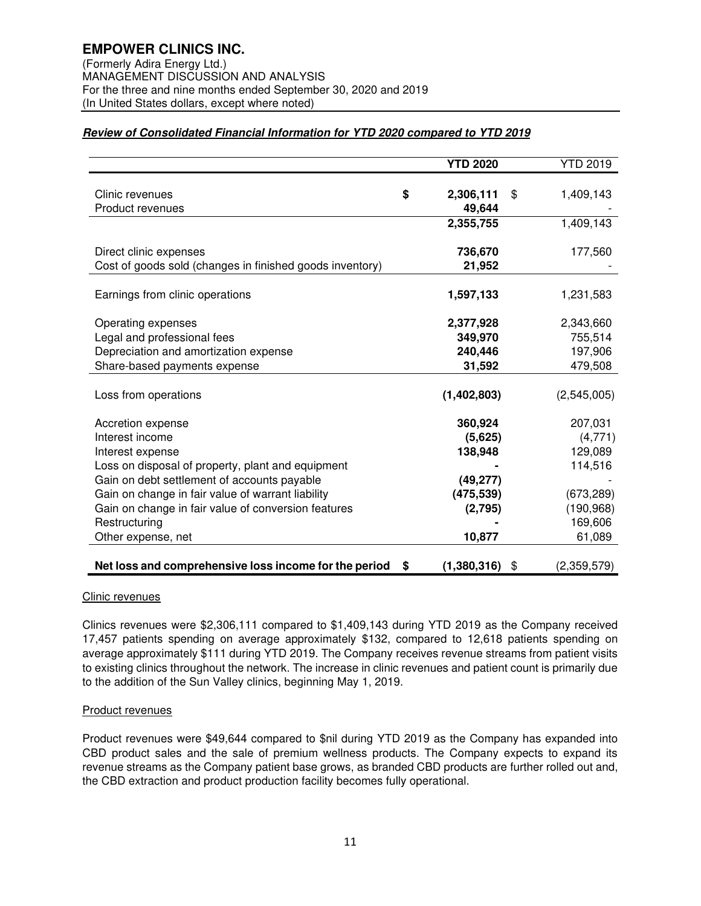# **Review of Consolidated Financial Information for YTD 2020 compared to YTD 2019**

|                                                          | <b>YTD 2020</b>   | <b>YTD 2019</b>   |
|----------------------------------------------------------|-------------------|-------------------|
|                                                          |                   |                   |
| Clinic revenues                                          | \$<br>2,306,111   | \$<br>1,409,143   |
| Product revenues                                         | 49,644            |                   |
|                                                          | 2,355,755         | 1,409,143         |
| Direct clinic expenses                                   | 736,670           | 177,560           |
| Cost of goods sold (changes in finished goods inventory) | 21,952            |                   |
|                                                          |                   |                   |
| Earnings from clinic operations                          | 1,597,133         | 1,231,583         |
|                                                          |                   |                   |
| Operating expenses                                       | 2,377,928         | 2,343,660         |
| Legal and professional fees                              | 349,970           | 755,514           |
| Depreciation and amortization expense                    | 240,446           | 197,906           |
| Share-based payments expense                             | 31,592            | 479,508           |
|                                                          |                   |                   |
| Loss from operations                                     | (1,402,803)       | (2,545,005)       |
| Accretion expense                                        | 360,924           | 207,031           |
| Interest income                                          | (5,625)           | (4,771)           |
| Interest expense                                         | 138,948           | 129,089           |
| Loss on disposal of property, plant and equipment        |                   | 114,516           |
| Gain on debt settlement of accounts payable              | (49, 277)         |                   |
| Gain on change in fair value of warrant liability        | (475, 539)        | (673, 289)        |
| Gain on change in fair value of conversion features      | (2,795)           | (190, 968)        |
| Restructuring                                            |                   | 169,606           |
|                                                          |                   |                   |
| Other expense, net                                       | 10,877            | 61,089            |
| Net loss and comprehensive loss income for the period    | \$<br>(1,380,316) | \$<br>(2,359,579) |

## Clinic revenues

Clinics revenues were \$2,306,111 compared to \$1,409,143 during YTD 2019 as the Company received 17,457 patients spending on average approximately \$132, compared to 12,618 patients spending on average approximately \$111 during YTD 2019. The Company receives revenue streams from patient visits to existing clinics throughout the network. The increase in clinic revenues and patient count is primarily due to the addition of the Sun Valley clinics, beginning May 1, 2019.

## Product revenues

Product revenues were \$49,644 compared to \$nil during YTD 2019 as the Company has expanded into CBD product sales and the sale of premium wellness products. The Company expects to expand its revenue streams as the Company patient base grows, as branded CBD products are further rolled out and, the CBD extraction and product production facility becomes fully operational.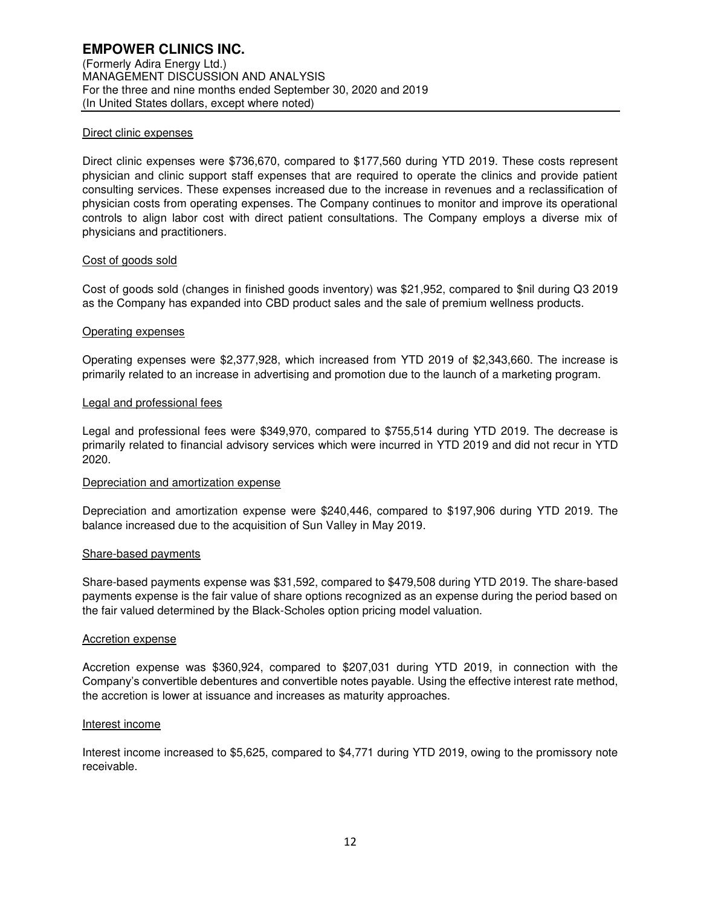## Direct clinic expenses

Direct clinic expenses were \$736,670, compared to \$177,560 during YTD 2019. These costs represent physician and clinic support staff expenses that are required to operate the clinics and provide patient consulting services. These expenses increased due to the increase in revenues and a reclassification of physician costs from operating expenses. The Company continues to monitor and improve its operational controls to align labor cost with direct patient consultations. The Company employs a diverse mix of physicians and practitioners.

#### Cost of goods sold

Cost of goods sold (changes in finished goods inventory) was \$21,952, compared to \$nil during Q3 2019 as the Company has expanded into CBD product sales and the sale of premium wellness products.

#### Operating expenses

Operating expenses were \$2,377,928, which increased from YTD 2019 of \$2,343,660. The increase is primarily related to an increase in advertising and promotion due to the launch of a marketing program.

#### Legal and professional fees

Legal and professional fees were \$349,970, compared to \$755,514 during YTD 2019. The decrease is primarily related to financial advisory services which were incurred in YTD 2019 and did not recur in YTD 2020.

## Depreciation and amortization expense

Depreciation and amortization expense were \$240,446, compared to \$197,906 during YTD 2019. The balance increased due to the acquisition of Sun Valley in May 2019.

#### Share-based payments

Share-based payments expense was \$31,592, compared to \$479,508 during YTD 2019. The share-based payments expense is the fair value of share options recognized as an expense during the period based on the fair valued determined by the Black-Scholes option pricing model valuation.

#### Accretion expense

Accretion expense was \$360,924, compared to \$207,031 during YTD 2019, in connection with the Company's convertible debentures and convertible notes payable. Using the effective interest rate method, the accretion is lower at issuance and increases as maturity approaches.

#### Interest income

Interest income increased to \$5,625, compared to \$4,771 during YTD 2019, owing to the promissory note receivable.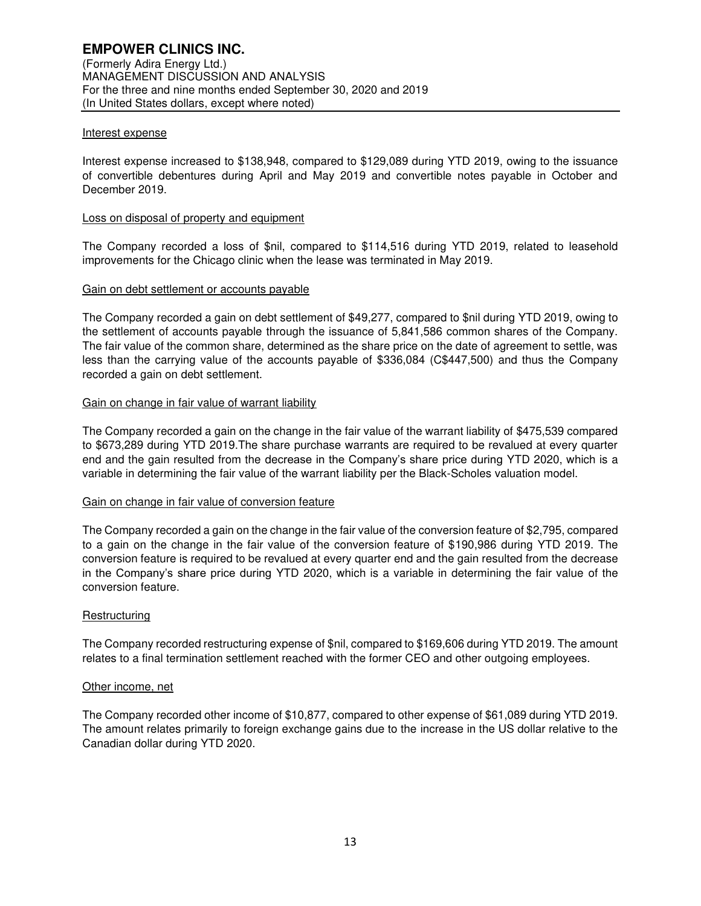### Interest expense

Interest expense increased to \$138,948, compared to \$129,089 during YTD 2019, owing to the issuance of convertible debentures during April and May 2019 and convertible notes payable in October and December 2019.

#### Loss on disposal of property and equipment

The Company recorded a loss of \$nil, compared to \$114,516 during YTD 2019, related to leasehold improvements for the Chicago clinic when the lease was terminated in May 2019.

#### Gain on debt settlement or accounts payable

The Company recorded a gain on debt settlement of \$49,277, compared to \$nil during YTD 2019, owing to the settlement of accounts payable through the issuance of 5,841,586 common shares of the Company. The fair value of the common share, determined as the share price on the date of agreement to settle, was less than the carrying value of the accounts payable of \$336,084 (C\$447,500) and thus the Company recorded a gain on debt settlement.

#### Gain on change in fair value of warrant liability

The Company recorded a gain on the change in the fair value of the warrant liability of \$475,539 compared to \$673,289 during YTD 2019.The share purchase warrants are required to be revalued at every quarter end and the gain resulted from the decrease in the Company's share price during YTD 2020, which is a variable in determining the fair value of the warrant liability per the Black-Scholes valuation model.

#### Gain on change in fair value of conversion feature

The Company recorded a gain on the change in the fair value of the conversion feature of \$2,795, compared to a gain on the change in the fair value of the conversion feature of \$190,986 during YTD 2019. The conversion feature is required to be revalued at every quarter end and the gain resulted from the decrease in the Company's share price during YTD 2020, which is a variable in determining the fair value of the conversion feature.

#### **Restructuring**

The Company recorded restructuring expense of \$nil, compared to \$169,606 during YTD 2019. The amount relates to a final termination settlement reached with the former CEO and other outgoing employees.

#### Other income, net

The Company recorded other income of \$10,877, compared to other expense of \$61,089 during YTD 2019. The amount relates primarily to foreign exchange gains due to the increase in the US dollar relative to the Canadian dollar during YTD 2020.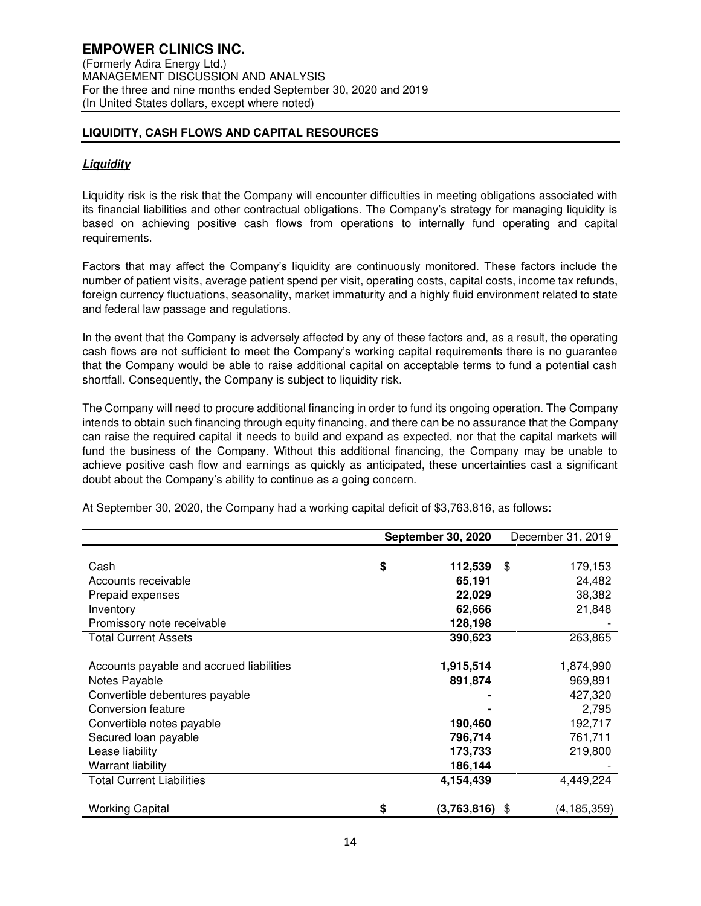# **LIQUIDITY, CASH FLOWS AND CAPITAL RESOURCES**

# **Liquidity**

Liquidity risk is the risk that the Company will encounter difficulties in meeting obligations associated with its financial liabilities and other contractual obligations. The Company's strategy for managing liquidity is based on achieving positive cash flows from operations to internally fund operating and capital requirements.

Factors that may affect the Company's liquidity are continuously monitored. These factors include the number of patient visits, average patient spend per visit, operating costs, capital costs, income tax refunds, foreign currency fluctuations, seasonality, market immaturity and a highly fluid environment related to state and federal law passage and regulations.

In the event that the Company is adversely affected by any of these factors and, as a result, the operating cash flows are not sufficient to meet the Company's working capital requirements there is no guarantee that the Company would be able to raise additional capital on acceptable terms to fund a potential cash shortfall. Consequently, the Company is subject to liquidity risk.

The Company will need to procure additional financing in order to fund its ongoing operation. The Company intends to obtain such financing through equity financing, and there can be no assurance that the Company can raise the required capital it needs to build and expand as expected, nor that the capital markets will fund the business of the Company. Without this additional financing, the Company may be unable to achieve positive cash flow and earnings as quickly as anticipated, these uncertainties cast a significant doubt about the Company's ability to continue as a going concern.

|                                          | <b>September 30, 2020</b> | December 31, 2019 |
|------------------------------------------|---------------------------|-------------------|
|                                          |                           |                   |
| Cash                                     | \$<br>112,539             | \$<br>179,153     |
| Accounts receivable                      | 65,191                    | 24,482            |
| Prepaid expenses                         | 22,029                    | 38,382            |
| Inventory                                | 62,666                    | 21,848            |
| Promissory note receivable               | 128,198                   |                   |
| <b>Total Current Assets</b>              | 390,623                   | 263,865           |
|                                          |                           |                   |
| Accounts payable and accrued liabilities | 1,915,514                 | 1,874,990         |
| Notes Payable                            | 891,874                   | 969,891           |
| Convertible debentures payable           |                           | 427,320           |
| Conversion feature                       |                           | 2,795             |
| Convertible notes payable                | 190,460                   | 192,717           |
| Secured loan payable                     | 796,714                   | 761,711           |
| Lease liability                          | 173,733                   | 219,800           |
| Warrant liability                        | 186,144                   |                   |
| <b>Total Current Liabilities</b>         | 4,154,439                 | 4,449,224         |
|                                          |                           |                   |
| <b>Working Capital</b>                   | \$<br>$(3,763,816)$ \$    | (4,185,359)       |
|                                          |                           |                   |

At September 30, 2020, the Company had a working capital deficit of \$3,763,816, as follows: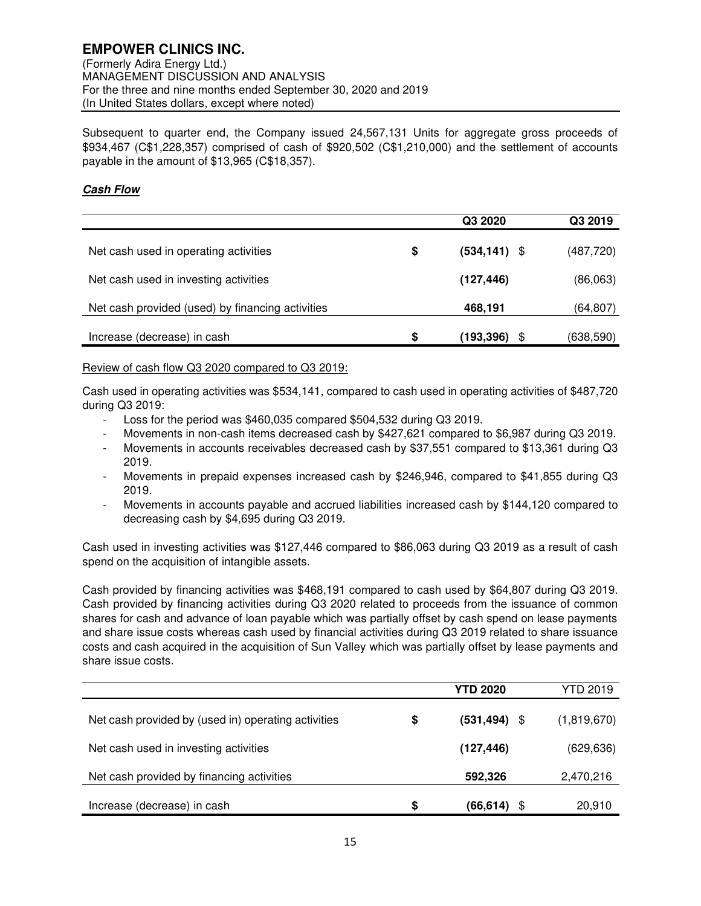Subsequent to quarter end, the Company issued 24,567,131 Units for aggregate gross proceeds of \$934,467 (C\$1,228,357) comprised of cash of \$920,502 (C\$1,210,000) and the settlement of accounts payable in the amount of \$13,965 (C\$18,357).

# **Cash Flow**

|                                                  | Q3 2020               | Q3 2019   |
|--------------------------------------------------|-----------------------|-----------|
| Net cash used in operating activities            | \$<br>$(534, 141)$ \$ | (487,720) |
| Net cash used in investing activities            | (127, 446)            | (86,063)  |
| Net cash provided (used) by financing activities | 468,191               | (64,807)  |
| Increase (decrease) in cash                      | \$<br>(193,396)       | (638,590) |

Review of cash flow Q3 2020 compared to Q3 2019:

Cash used in operating activities was \$534,141, compared to cash used in operating activities of \$487,720 during Q3 2019:

- Loss for the period was \$460,035 compared \$504,532 during Q3 2019.
- Movements in non-cash items decreased cash by \$427,621 compared to \$6,987 during Q3 2019.
- Movements in accounts receivables decreased cash by \$37,551 compared to \$13,361 during Q3 2019.
- Movements in prepaid expenses increased cash by \$246,946, compared to \$41,855 during Q3 2019.
- Movements in accounts payable and accrued liabilities increased cash by \$144,120 compared to decreasing cash by \$4,695 during Q3 2019.

Cash used in investing activities was \$127,446 compared to \$86,063 during Q3 2019 as a result of cash spend on the acquisition of intangible assets.

Cash provided by financing activities was \$468,191 compared to cash used by \$64,807 during Q3 2019. Cash provided by financing activities during Q3 2020 related to proceeds from the issuance of common shares for cash and advance of loan payable which was partially offset by cash spend on lease payments and share issue costs whereas cash used by financial activities during Q3 2019 related to share issuance costs and cash acquired in the acquisition of Sun Valley which was partially offset by lease payments and share issue costs.

|                                                     | <b>YTD 2020</b>       | YTD 2019    |
|-----------------------------------------------------|-----------------------|-------------|
| Net cash provided by (used in) operating activities | \$<br>$(531, 494)$ \$ | (1,819,670) |
| Net cash used in investing activities               | (127, 446)            | (629, 636)  |
| Net cash provided by financing activities           | 592,326               | 2,470,216   |
| Increase (decrease) in cash                         | \$<br>(66.614)        | 20,910      |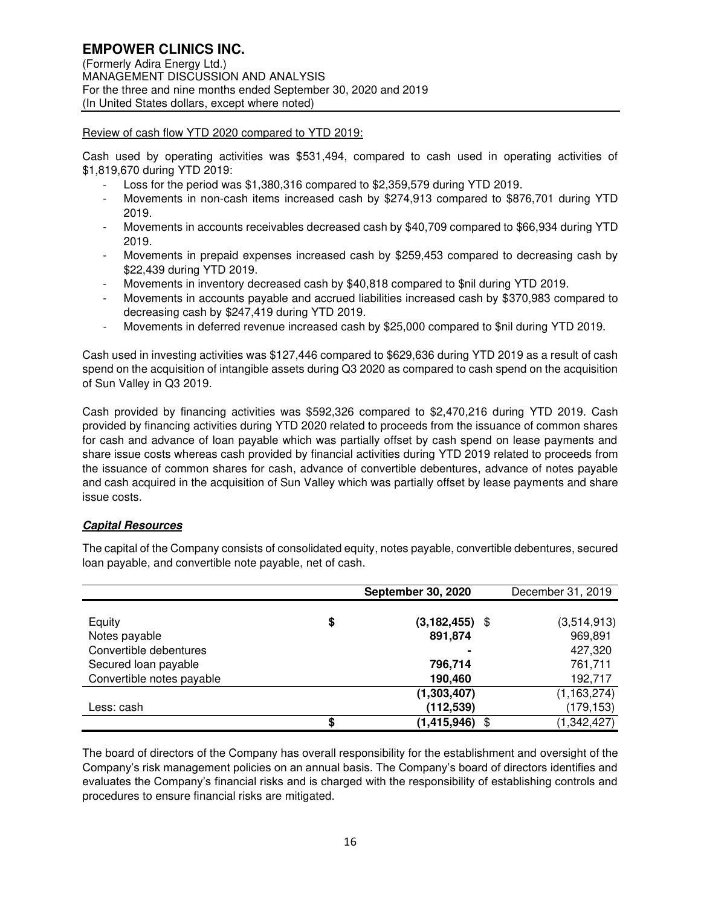# Review of cash flow YTD 2020 compared to YTD 2019:

Cash used by operating activities was \$531,494, compared to cash used in operating activities of \$1,819,670 during YTD 2019:

- Loss for the period was \$1,380,316 compared to \$2,359,579 during YTD 2019.
- Movements in non-cash items increased cash by \$274,913 compared to \$876,701 during YTD 2019.
- Movements in accounts receivables decreased cash by \$40,709 compared to \$66,934 during YTD 2019.
- Movements in prepaid expenses increased cash by \$259,453 compared to decreasing cash by \$22,439 during YTD 2019.
- Movements in inventory decreased cash by \$40,818 compared to \$nil during YTD 2019.
- Movements in accounts payable and accrued liabilities increased cash by \$370,983 compared to decreasing cash by \$247,419 during YTD 2019.
- Movements in deferred revenue increased cash by \$25,000 compared to \$nil during YTD 2019.

Cash used in investing activities was \$127,446 compared to \$629,636 during YTD 2019 as a result of cash spend on the acquisition of intangible assets during Q3 2020 as compared to cash spend on the acquisition of Sun Valley in Q3 2019.

Cash provided by financing activities was \$592,326 compared to \$2,470,216 during YTD 2019. Cash provided by financing activities during YTD 2020 related to proceeds from the issuance of common shares for cash and advance of loan payable which was partially offset by cash spend on lease payments and share issue costs whereas cash provided by financial activities during YTD 2019 related to proceeds from the issuance of common shares for cash, advance of convertible debentures, advance of notes payable and cash acquired in the acquisition of Sun Valley which was partially offset by lease payments and share issue costs.

# **Capital Resources**

The capital of the Company consists of consolidated equity, notes payable, convertible debentures, secured loan payable, and convertible note payable, net of cash.

|                           | <b>September 30, 2020</b> | December 31, 2019 |
|---------------------------|---------------------------|-------------------|
|                           |                           |                   |
| Equity                    | \$<br>$(3, 182, 455)$ \$  | (3,514,913)       |
| Notes payable             | 891,874                   | 969,891           |
| Convertible debentures    |                           | 427,320           |
| Secured loan payable      | 796,714                   | 761,711           |
| Convertible notes payable | 190,460                   | 192,717           |
|                           | (1,303,407)               | (1, 163, 274)     |
| Less: cash                | (112, 539)                | (179, 153)        |
|                           | \$<br>$(1,415,946)$ \$    | (1,342,427)       |

The board of directors of the Company has overall responsibility for the establishment and oversight of the Company's risk management policies on an annual basis. The Company's board of directors identifies and evaluates the Company's financial risks and is charged with the responsibility of establishing controls and procedures to ensure financial risks are mitigated.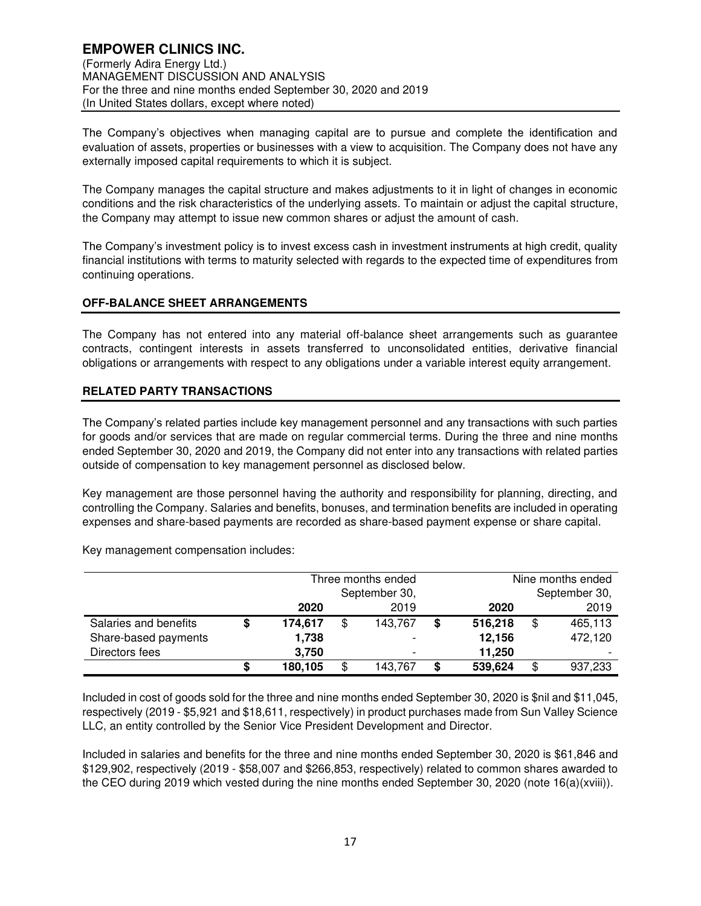The Company's objectives when managing capital are to pursue and complete the identification and evaluation of assets, properties or businesses with a view to acquisition. The Company does not have any externally imposed capital requirements to which it is subject.

The Company manages the capital structure and makes adjustments to it in light of changes in economic conditions and the risk characteristics of the underlying assets. To maintain or adjust the capital structure, the Company may attempt to issue new common shares or adjust the amount of cash.

The Company's investment policy is to invest excess cash in investment instruments at high credit, quality financial institutions with terms to maturity selected with regards to the expected time of expenditures from continuing operations.

# **OFF-BALANCE SHEET ARRANGEMENTS**

The Company has not entered into any material off-balance sheet arrangements such as guarantee contracts, contingent interests in assets transferred to unconsolidated entities, derivative financial obligations or arrangements with respect to any obligations under a variable interest equity arrangement.

## **RELATED PARTY TRANSACTIONS**

The Company's related parties include key management personnel and any transactions with such parties for goods and/or services that are made on regular commercial terms. During the three and nine months ended September 30, 2020 and 2019, the Company did not enter into any transactions with related parties outside of compensation to key management personnel as disclosed below.

Key management are those personnel having the authority and responsibility for planning, directing, and controlling the Company. Salaries and benefits, bonuses, and termination benefits are included in operating expenses and share-based payments are recorded as share-based payment expense or share capital.

Key management compensation includes:

|                       |        | Three months ended<br>September 30, |    |         |   |         | Nine months ended<br>September 30, |
|-----------------------|--------|-------------------------------------|----|---------|---|---------|------------------------------------|
|                       |        | 2020                                |    | 2019    |   | 2020    | 2019                               |
| Salaries and benefits | ۰D     | 174,617                             | \$ | 143,767 | S | 516,218 | 465,113                            |
| Share-based payments  |        | 1,738                               |    |         |   | 12,156  | 472,120                            |
| Directors fees        |        | 3,750                               |    |         |   | 11,250  |                                    |
|                       | œ<br>ъ | 180,105                             | \$ | 143,767 | S | 539,624 | 937,233                            |

Included in cost of goods sold for the three and nine months ended September 30, 2020 is \$nil and \$11,045, respectively (2019 - \$5,921 and \$18,611, respectively) in product purchases made from Sun Valley Science LLC, an entity controlled by the Senior Vice President Development and Director.

Included in salaries and benefits for the three and nine months ended September 30, 2020 is \$61,846 and \$129,902, respectively (2019 - \$58,007 and \$266,853, respectively) related to common shares awarded to the CEO during 2019 which vested during the nine months ended September 30, 2020 (note 16(a)(xviii)).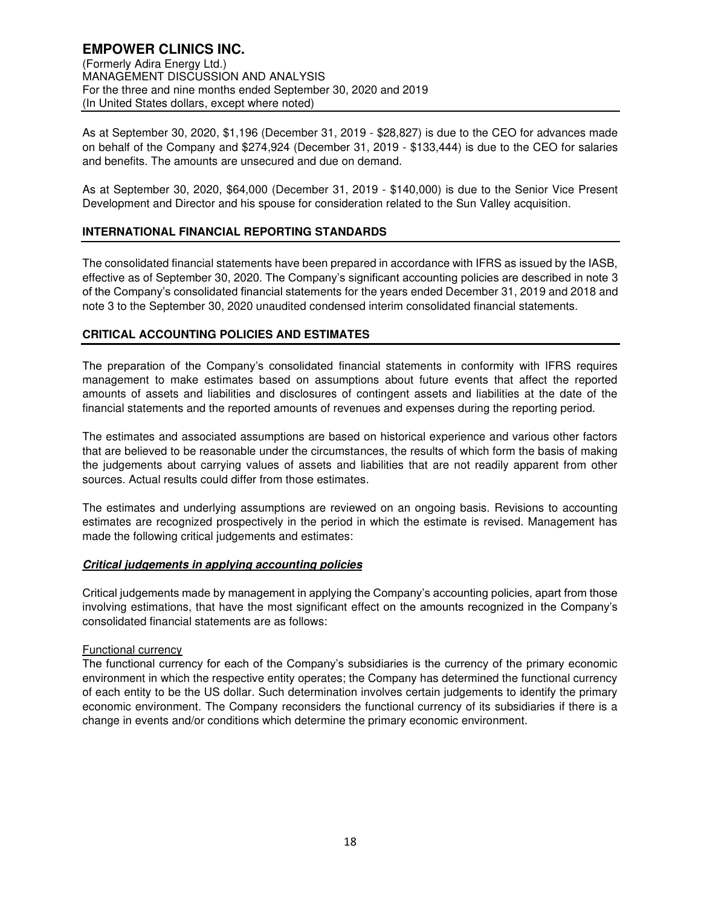As at September 30, 2020, \$1,196 (December 31, 2019 - \$28,827) is due to the CEO for advances made on behalf of the Company and \$274,924 (December 31, 2019 - \$133,444) is due to the CEO for salaries and benefits. The amounts are unsecured and due on demand.

As at September 30, 2020, \$64,000 (December 31, 2019 - \$140,000) is due to the Senior Vice Present Development and Director and his spouse for consideration related to the Sun Valley acquisition.

# **INTERNATIONAL FINANCIAL REPORTING STANDARDS**

The consolidated financial statements have been prepared in accordance with IFRS as issued by the IASB, effective as of September 30, 2020. The Company's significant accounting policies are described in note 3 of the Company's consolidated financial statements for the years ended December 31, 2019 and 2018 and note 3 to the September 30, 2020 unaudited condensed interim consolidated financial statements.

# **CRITICAL ACCOUNTING POLICIES AND ESTIMATES**

The preparation of the Company's consolidated financial statements in conformity with IFRS requires management to make estimates based on assumptions about future events that affect the reported amounts of assets and liabilities and disclosures of contingent assets and liabilities at the date of the financial statements and the reported amounts of revenues and expenses during the reporting period.

The estimates and associated assumptions are based on historical experience and various other factors that are believed to be reasonable under the circumstances, the results of which form the basis of making the judgements about carrying values of assets and liabilities that are not readily apparent from other sources. Actual results could differ from those estimates.

The estimates and underlying assumptions are reviewed on an ongoing basis. Revisions to accounting estimates are recognized prospectively in the period in which the estimate is revised. Management has made the following critical judgements and estimates:

# **Critical judgements in applying accounting policies**

Critical judgements made by management in applying the Company's accounting policies, apart from those involving estimations, that have the most significant effect on the amounts recognized in the Company's consolidated financial statements are as follows:

## Functional currency

The functional currency for each of the Company's subsidiaries is the currency of the primary economic environment in which the respective entity operates; the Company has determined the functional currency of each entity to be the US dollar. Such determination involves certain judgements to identify the primary economic environment. The Company reconsiders the functional currency of its subsidiaries if there is a change in events and/or conditions which determine the primary economic environment.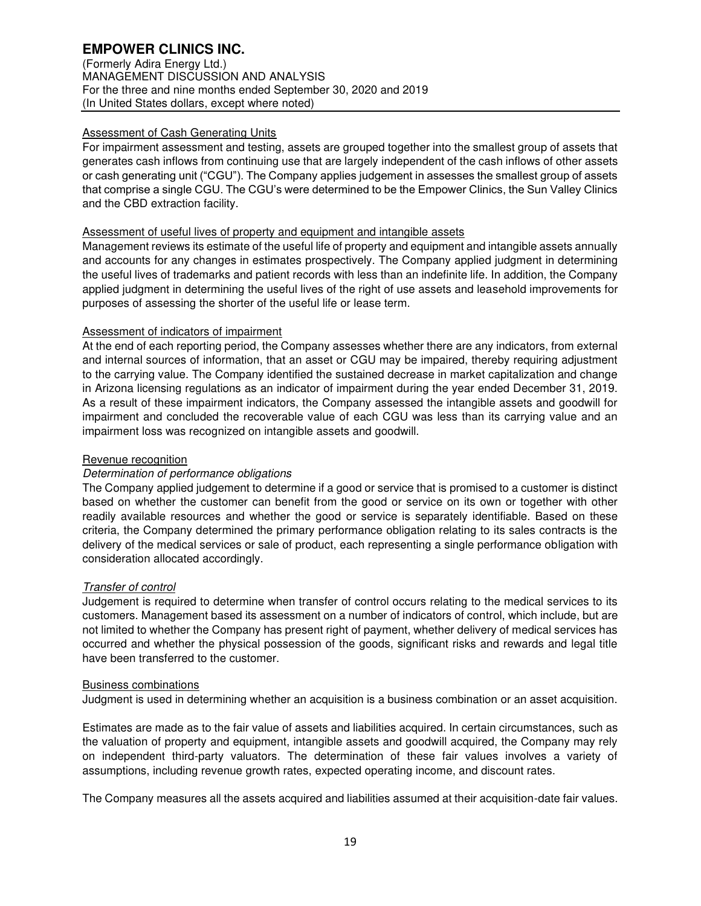(Formerly Adira Energy Ltd.) MANAGEMENT DISCUSSION AND ANALYSIS For the three and nine months ended September 30, 2020 and 2019 (In United States dollars, except where noted)

# Assessment of Cash Generating Units

For impairment assessment and testing, assets are grouped together into the smallest group of assets that generates cash inflows from continuing use that are largely independent of the cash inflows of other assets or cash generating unit ("CGU"). The Company applies judgement in assesses the smallest group of assets that comprise a single CGU. The CGU's were determined to be the Empower Clinics, the Sun Valley Clinics and the CBD extraction facility.

# Assessment of useful lives of property and equipment and intangible assets

Management reviews its estimate of the useful life of property and equipment and intangible assets annually and accounts for any changes in estimates prospectively. The Company applied judgment in determining the useful lives of trademarks and patient records with less than an indefinite life. In addition, the Company applied judgment in determining the useful lives of the right of use assets and leasehold improvements for purposes of assessing the shorter of the useful life or lease term.

# Assessment of indicators of impairment

At the end of each reporting period, the Company assesses whether there are any indicators, from external and internal sources of information, that an asset or CGU may be impaired, thereby requiring adjustment to the carrying value. The Company identified the sustained decrease in market capitalization and change in Arizona licensing regulations as an indicator of impairment during the year ended December 31, 2019. As a result of these impairment indicators, the Company assessed the intangible assets and goodwill for impairment and concluded the recoverable value of each CGU was less than its carrying value and an impairment loss was recognized on intangible assets and goodwill.

# Revenue recognition

# Determination of performance obligations

The Company applied judgement to determine if a good or service that is promised to a customer is distinct based on whether the customer can benefit from the good or service on its own or together with other readily available resources and whether the good or service is separately identifiable. Based on these criteria, the Company determined the primary performance obligation relating to its sales contracts is the delivery of the medical services or sale of product, each representing a single performance obligation with consideration allocated accordingly.

## Transfer of control

Judgement is required to determine when transfer of control occurs relating to the medical services to its customers. Management based its assessment on a number of indicators of control, which include, but are not limited to whether the Company has present right of payment, whether delivery of medical services has occurred and whether the physical possession of the goods, significant risks and rewards and legal title have been transferred to the customer.

## Business combinations

Judgment is used in determining whether an acquisition is a business combination or an asset acquisition.

Estimates are made as to the fair value of assets and liabilities acquired. In certain circumstances, such as the valuation of property and equipment, intangible assets and goodwill acquired, the Company may rely on independent third-party valuators. The determination of these fair values involves a variety of assumptions, including revenue growth rates, expected operating income, and discount rates.

The Company measures all the assets acquired and liabilities assumed at their acquisition-date fair values.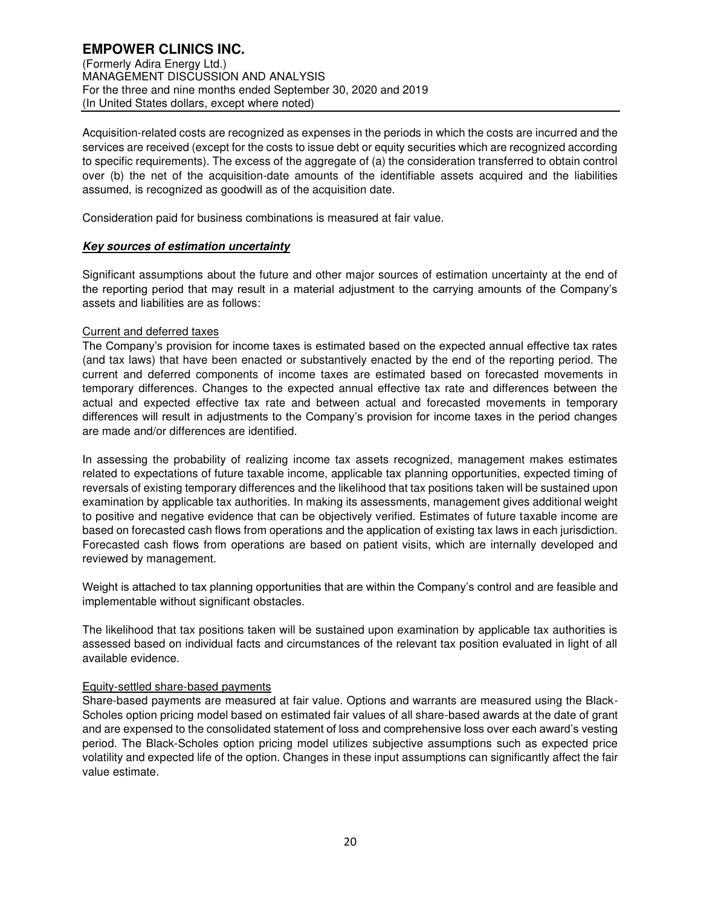Acquisition-related costs are recognized as expenses in the periods in which the costs are incurred and the services are received (except for the costs to issue debt or equity securities which are recognized according to specific requirements). The excess of the aggregate of (a) the consideration transferred to obtain control over (b) the net of the acquisition-date amounts of the identifiable assets acquired and the liabilities assumed, is recognized as goodwill as of the acquisition date.

Consideration paid for business combinations is measured at fair value.

# **Key sources of estimation uncertainty**

Significant assumptions about the future and other major sources of estimation uncertainty at the end of the reporting period that may result in a material adjustment to the carrying amounts of the Company's assets and liabilities are as follows:

# Current and deferred taxes

The Company's provision for income taxes is estimated based on the expected annual effective tax rates (and tax laws) that have been enacted or substantively enacted by the end of the reporting period. The current and deferred components of income taxes are estimated based on forecasted movements in temporary differences. Changes to the expected annual effective tax rate and differences between the actual and expected effective tax rate and between actual and forecasted movements in temporary differences will result in adjustments to the Company's provision for income taxes in the period changes are made and/or differences are identified.

In assessing the probability of realizing income tax assets recognized, management makes estimates related to expectations of future taxable income, applicable tax planning opportunities, expected timing of reversals of existing temporary differences and the likelihood that tax positions taken will be sustained upon examination by applicable tax authorities. In making its assessments, management gives additional weight to positive and negative evidence that can be objectively verified. Estimates of future taxable income are based on forecasted cash flows from operations and the application of existing tax laws in each jurisdiction. Forecasted cash flows from operations are based on patient visits, which are internally developed and reviewed by management.

Weight is attached to tax planning opportunities that are within the Company's control and are feasible and implementable without significant obstacles.

The likelihood that tax positions taken will be sustained upon examination by applicable tax authorities is assessed based on individual facts and circumstances of the relevant tax position evaluated in light of all available evidence.

## Equity-settled share-based payments

Share-based payments are measured at fair value. Options and warrants are measured using the Black-Scholes option pricing model based on estimated fair values of all share-based awards at the date of grant and are expensed to the consolidated statement of loss and comprehensive loss over each award's vesting period. The Black-Scholes option pricing model utilizes subjective assumptions such as expected price volatility and expected life of the option. Changes in these input assumptions can significantly affect the fair value estimate.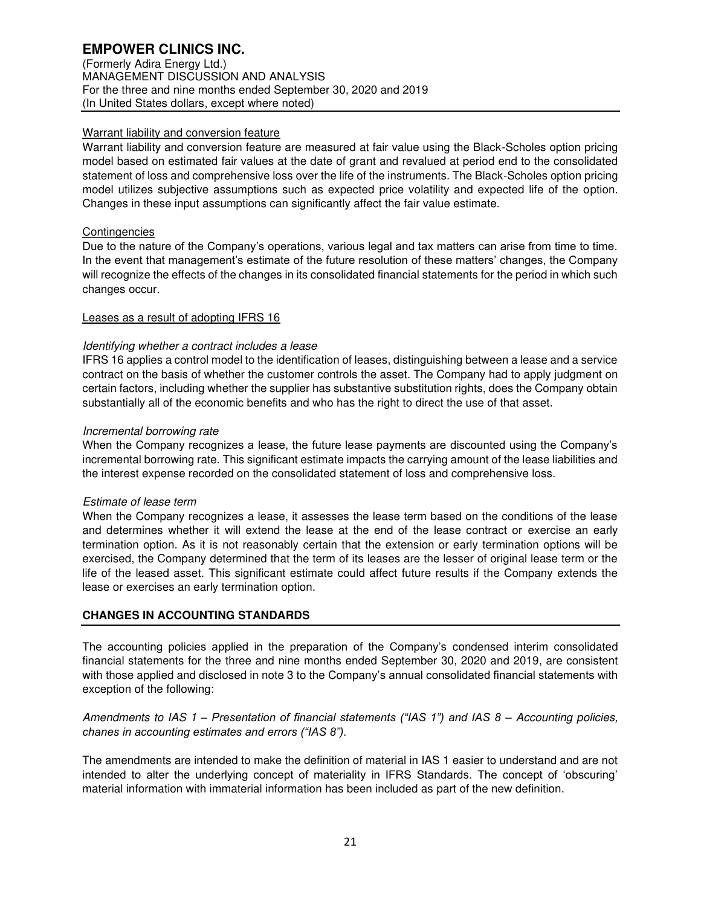(Formerly Adira Energy Ltd.) MANAGEMENT DISCUSSION AND ANALYSIS For the three and nine months ended September 30, 2020 and 2019 (In United States dollars, except where noted)

# Warrant liability and conversion feature

Warrant liability and conversion feature are measured at fair value using the Black-Scholes option pricing model based on estimated fair values at the date of grant and revalued at period end to the consolidated statement of loss and comprehensive loss over the life of the instruments. The Black-Scholes option pricing model utilizes subjective assumptions such as expected price volatility and expected life of the option. Changes in these input assumptions can significantly affect the fair value estimate.

# **Contingencies**

Due to the nature of the Company's operations, various legal and tax matters can arise from time to time. In the event that management's estimate of the future resolution of these matters' changes, the Company will recognize the effects of the changes in its consolidated financial statements for the period in which such changes occur.

# Leases as a result of adopting IFRS 16

# Identifying whether a contract includes a lease

IFRS 16 applies a control model to the identification of leases, distinguishing between a lease and a service contract on the basis of whether the customer controls the asset. The Company had to apply judgment on certain factors, including whether the supplier has substantive substitution rights, does the Company obtain substantially all of the economic benefits and who has the right to direct the use of that asset.

# Incremental borrowing rate

When the Company recognizes a lease, the future lease payments are discounted using the Company's incremental borrowing rate. This significant estimate impacts the carrying amount of the lease liabilities and the interest expense recorded on the consolidated statement of loss and comprehensive loss.

## Estimate of lease term

When the Company recognizes a lease, it assesses the lease term based on the conditions of the lease and determines whether it will extend the lease at the end of the lease contract or exercise an early termination option. As it is not reasonably certain that the extension or early termination options will be exercised, the Company determined that the term of its leases are the lesser of original lease term or the life of the leased asset. This significant estimate could affect future results if the Company extends the lease or exercises an early termination option.

# **CHANGES IN ACCOUNTING STANDARDS**

The accounting policies applied in the preparation of the Company's condensed interim consolidated financial statements for the three and nine months ended September 30, 2020 and 2019, are consistent with those applied and disclosed in note 3 to the Company's annual consolidated financial statements with exception of the following:

# Amendments to IAS 1 *– Presentation of financial statements ("IAS 1") and IAS 8 –* Accounting policies, *chanes in accounting estimates and errors ("IAS 8").*

The amendments are intended to make the definition of material in IAS 1 easier to understand and are not intended to alter the underlying concept of materiality in IFRS Standards. The concept of 'obscuring' material information with immaterial information has been included as part of the new definition.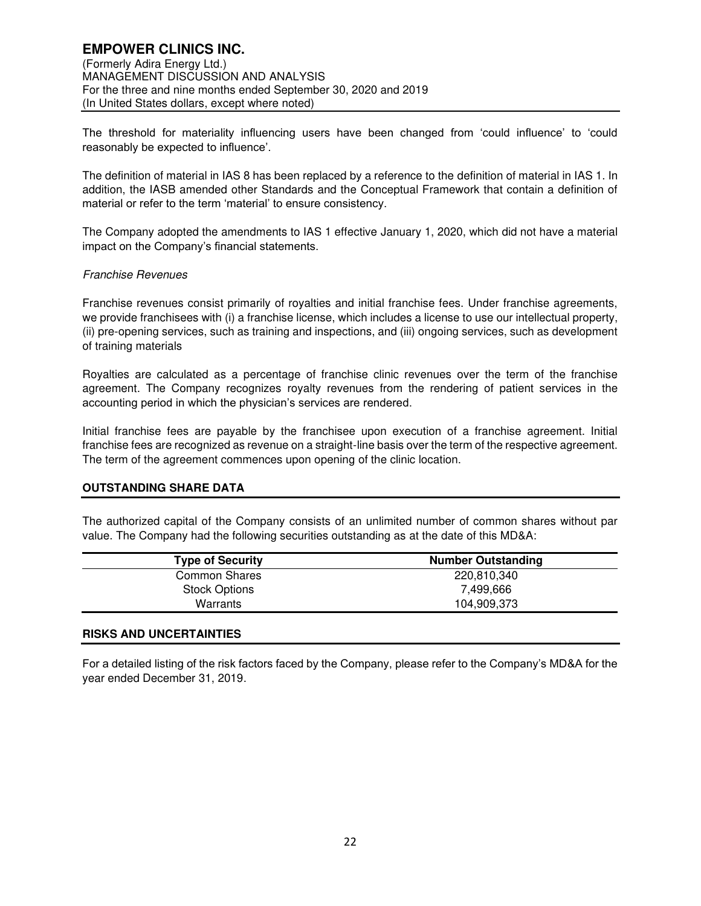The threshold for materiality influencing users have been changed from 'could influence' to 'could reasonably be expected to influence'.

The definition of material in IAS 8 has been replaced by a reference to the definition of material in IAS 1. In addition, the IASB amended other Standards and the Conceptual Framework that contain a definition of material or refer to the term 'material' to ensure consistency.

The Company adopted the amendments to IAS 1 effective January 1, 2020, which did not have a material impact on the Company's financial statements.

# Franchise Revenues

Franchise revenues consist primarily of royalties and initial franchise fees. Under franchise agreements, we provide franchisees with (i) a franchise license, which includes a license to use our intellectual property, (ii) pre-opening services, such as training and inspections, and (iii) ongoing services, such as development of training materials

Royalties are calculated as a percentage of franchise clinic revenues over the term of the franchise agreement. The Company recognizes royalty revenues from the rendering of patient services in the accounting period in which the physician's services are rendered.

Initial franchise fees are payable by the franchisee upon execution of a franchise agreement. Initial franchise fees are recognized as revenue on a straight-line basis over the term of the respective agreement. The term of the agreement commences upon opening of the clinic location.

# **OUTSTANDING SHARE DATA**

The authorized capital of the Company consists of an unlimited number of common shares without par value. The Company had the following securities outstanding as at the date of this MD&A:

| <b>Type of Security</b> | <b>Number Outstanding</b> |
|-------------------------|---------------------------|
| <b>Common Shares</b>    | 220.810.340               |
| <b>Stock Options</b>    | 7,499,666                 |
| Warrants                | 104.909.373               |

## **RISKS AND UNCERTAINTIES**

For a detailed listing of the risk factors faced by the Company, please refer to the Company's MD&A for the year ended December 31, 2019.